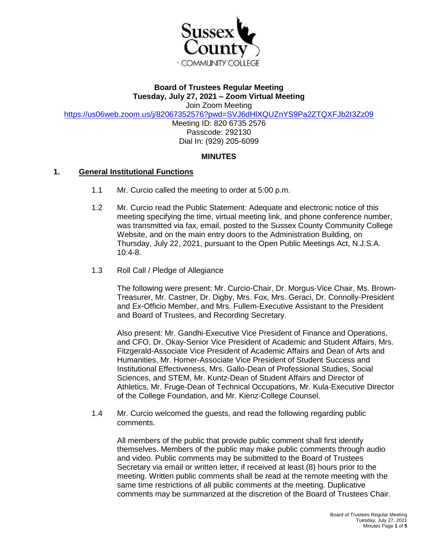

# **Board of Trustees Regular Meeting Tuesday, July 27, 2021 – Zoom Virtual Meeting**

Join Zoom Meeting

<https://us06web.zoom.us/j/82067352576?pwd=SVJ6dHlXQUZnYS9Pa2ZTQXFJb2I3Zz09>

Meeting ID: 820 6735 2576 Passcode: 292130 Dial In: (929) 205-6099

## **MINUTES**

### **1. General Institutional Functions**

- 1.1 Mr. Curcio called the meeting to order at 5:00 p.m.
- 1.2 Mr. Curcio read the Public Statement: Adequate and electronic notice of this meeting specifying the time, virtual meeting link, and phone conference number, was transmitted via fax, email, posted to the Sussex County Community College Website, and on the main entry doors to the Administration Building, on Thursday, July 22, 2021, pursuant to the Open Public Meetings Act, N.J.S.A. 10:4-8.
- 1.3 Roll Call / Pledge of Allegiance

The following were present: Mr. Curcio-Chair, Dr. Morgus-Vice Chair, Ms. Brown-Treasurer, Mr. Castner, Dr. Digby, Mrs. Fox, Mrs. Geraci, Dr. Connolly-President and Ex-Officio Member, and Mrs. Fullem-Executive Assistant to the President and Board of Trustees, and Recording Secretary.

Also present: Mr. Gandhi-Executive Vice President of Finance and Operations, and CFO, Dr. Okay-Senior Vice President of Academic and Student Affairs, Mrs. Fitzgerald-Associate Vice President of Academic Affairs and Dean of Arts and Humanities, Mr. Homer-Associate Vice President of Student Success and Institutional Effectiveness, Mrs. Gallo-Dean of Professional Studies, Social Sciences, and STEM, Mr. Kuntz-Dean of Student Affairs and Director of Athletics, Mr. Fruge-Dean of Technical Occupations, Mr. Kula-Executive Director of the College Foundation, and Mr. Kienz-College Counsel.

1.4 Mr. Curcio welcomed the guests, and read the following regarding public comments.

All members of the public that provide public comment shall first identify themselves. Members of the public may make public comments through audio and video. Public comments may be submitted to the Board of Trustees Secretary via email or written letter, if received at least (8) hours prior to the meeting. Written public comments shall be read at the remote meeting with the same time restrictions of all public comments at the meeting. Duplicative comments may be summarized at the discretion of the Board of Trustees Chair.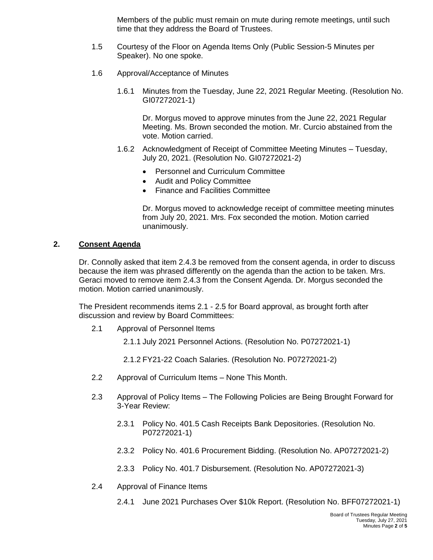Members of the public must remain on mute during remote meetings, until such time that they address the Board of Trustees.

- 1.5 Courtesy of the Floor on Agenda Items Only (Public Session-5 Minutes per Speaker). No one spoke.
- 1.6 Approval/Acceptance of Minutes
	- 1.6.1 Minutes from the Tuesday, June 22, 2021 Regular Meeting. (Resolution No. GI07272021-1)

Dr. Morgus moved to approve minutes from the June 22, 2021 Regular Meeting. Ms. Brown seconded the motion. Mr. Curcio abstained from the vote. Motion carried.

- 1.6.2 Acknowledgment of Receipt of Committee Meeting Minutes Tuesday, July 20, 2021. (Resolution No. GI07272021-2)
	- Personnel and Curriculum Committee
	- Audit and Policy Committee
	- Finance and Facilities Committee

Dr. Morgus moved to acknowledge receipt of committee meeting minutes from July 20, 2021. Mrs. Fox seconded the motion. Motion carried unanimously.

### **2. Consent Agenda**

Dr. Connolly asked that item 2.4.3 be removed from the consent agenda, in order to discuss because the item was phrased differently on the agenda than the action to be taken. Mrs. Geraci moved to remove item 2.4.3 from the Consent Agenda. Dr. Morgus seconded the motion. Motion carried unanimously.

The President recommends items 2.1 - 2.5 for Board approval, as brought forth after discussion and review by Board Committees:

- 2.1 Approval of Personnel Items
	- 2.1.1 July 2021 Personnel Actions. (Resolution No. P07272021-1)
	- 2.1.2 FY21-22 Coach Salaries. (Resolution No. P07272021-2)
- 2.2 Approval of Curriculum Items None This Month.
- 2.3 Approval of Policy Items The Following Policies are Being Brought Forward for 3-Year Review:
	- 2.3.1 Policy No. 401.5 Cash Receipts Bank Depositories. (Resolution No. P07272021-1)
	- 2.3.2 Policy No. 401.6 Procurement Bidding. (Resolution No. AP07272021-2)
	- 2.3.3 Policy No. 401.7 Disbursement. (Resolution No. AP07272021-3)
- 2.4 Approval of Finance Items
	- 2.4.1 June 2021 Purchases Over \$10k Report. (Resolution No. BFF07272021-1)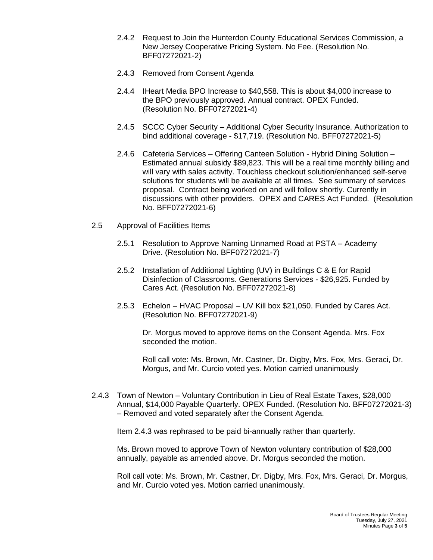- 2.4.2 Request to Join the Hunterdon County Educational Services Commission, a New Jersey Cooperative Pricing System. No Fee. (Resolution No. BFF07272021-2)
- 2.4.3 Removed from Consent Agenda
- 2.4.4 IHeart Media BPO Increase to \$40,558. This is about \$4,000 increase to the BPO previously approved. Annual contract. OPEX Funded. (Resolution No. BFF07272021-4)
- 2.4.5 SCCC Cyber Security Additional Cyber Security Insurance. Authorization to bind additional coverage - \$17,719. (Resolution No. BFF07272021-5)
- 2.4.6 Cafeteria Services Offering Canteen Solution Hybrid Dining Solution Estimated annual subsidy \$89,823. This will be a real time monthly billing and will vary with sales activity. Touchless checkout solution/enhanced self-serve solutions for students will be available at all times. See summary of services proposal. Contract being worked on and will follow shortly. Currently in discussions with other providers. OPEX and CARES Act Funded. (Resolution No. BFF07272021-6)
- 2.5 Approval of Facilities Items
	- 2.5.1 Resolution to Approve Naming Unnamed Road at PSTA Academy Drive. (Resolution No. BFF07272021-7)
	- 2.5.2 Installation of Additional Lighting (UV) in Buildings C & E for Rapid Disinfection of Classrooms. Generations Services - \$26,925. Funded by Cares Act. (Resolution No. BFF07272021-8)
	- 2.5.3 Echelon HVAC Proposal UV Kill box \$21,050. Funded by Cares Act. (Resolution No. BFF07272021-9)

Dr. Morgus moved to approve items on the Consent Agenda. Mrs. Fox seconded the motion.

Roll call vote: Ms. Brown, Mr. Castner, Dr. Digby, Mrs. Fox, Mrs. Geraci, Dr. Morgus, and Mr. Curcio voted yes. Motion carried unanimously

2.4.3 Town of Newton – Voluntary Contribution in Lieu of Real Estate Taxes, \$28,000 Annual, \$14,000 Payable Quarterly. OPEX Funded. (Resolution No. BFF07272021-3) – Removed and voted separately after the Consent Agenda.

Item 2.4.3 was rephrased to be paid bi-annually rather than quarterly.

Ms. Brown moved to approve Town of Newton voluntary contribution of \$28,000 annually, payable as amended above. Dr. Morgus seconded the motion.

Roll call vote: Ms. Brown, Mr. Castner, Dr. Digby, Mrs. Fox, Mrs. Geraci, Dr. Morgus, and Mr. Curcio voted yes. Motion carried unanimously.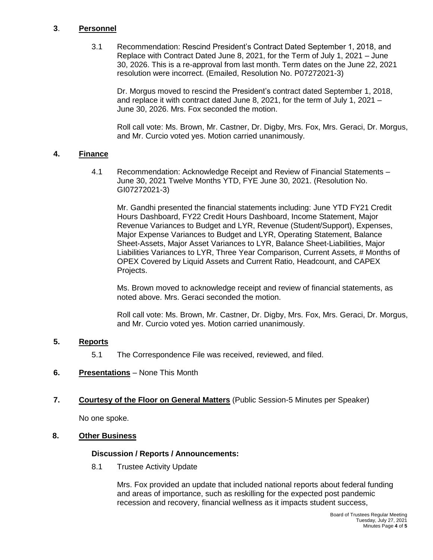### **3**. **Personnel**

3.1 Recommendation: Rescind President's Contract Dated September 1, 2018, and Replace with Contract Dated June 8, 2021, for the Term of July 1, 2021 – June 30, 2026. This is a re-approval from last month. Term dates on the June 22, 2021 resolution were incorrect. (Emailed, Resolution No. P07272021-3)

Dr. Morgus moved to rescind the President's contract dated September 1, 2018, and replace it with contract dated June 8, 2021, for the term of July 1, 2021 – June 30, 2026. Mrs. Fox seconded the motion.

Roll call vote: Ms. Brown, Mr. Castner, Dr. Digby, Mrs. Fox, Mrs. Geraci, Dr. Morgus, and Mr. Curcio voted yes. Motion carried unanimously.

### **4. Finance**

4.1 Recommendation: Acknowledge Receipt and Review of Financial Statements – June 30, 2021 Twelve Months YTD, FYE June 30, 2021. (Resolution No. GI07272021-3)

Mr. Gandhi presented the financial statements including: June YTD FY21 Credit Hours Dashboard, FY22 Credit Hours Dashboard, Income Statement, Major Revenue Variances to Budget and LYR, Revenue (Student/Support), Expenses, Major Expense Variances to Budget and LYR, Operating Statement, Balance Sheet-Assets, Major Asset Variances to LYR, Balance Sheet-Liabilities, Major Liabilities Variances to LYR, Three Year Comparison, Current Assets, # Months of OPEX Covered by Liquid Assets and Current Ratio, Headcount, and CAPEX Projects.

Ms. Brown moved to acknowledge receipt and review of financial statements, as noted above. Mrs. Geraci seconded the motion.

Roll call vote: Ms. Brown, Mr. Castner, Dr. Digby, Mrs. Fox, Mrs. Geraci, Dr. Morgus, and Mr. Curcio voted yes. Motion carried unanimously.

### **5. Reports**

- 5.1 The Correspondence File was received, reviewed, and filed.
- **6. Presentations** None This Month

#### **7. Courtesy of the Floor on General Matters** (Public Session-5 Minutes per Speaker)

No one spoke.

### **8. Other Business**

#### **Discussion / Reports / Announcements:**

8.1 Trustee Activity Update

Mrs. Fox provided an update that included national reports about federal funding and areas of importance, such as reskilling for the expected post pandemic recession and recovery, financial wellness as it impacts student success,